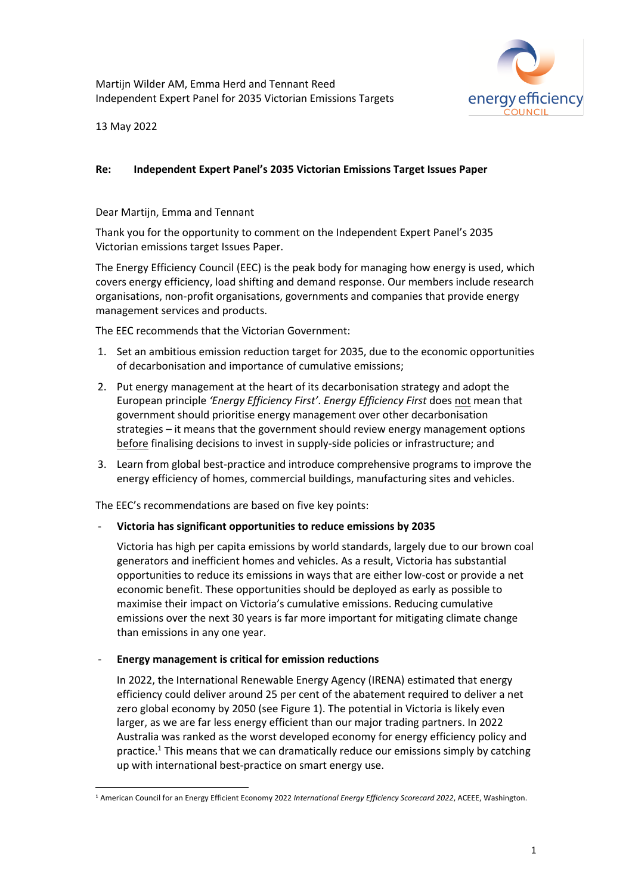Martijn Wilder AM, Emma Herd and Tennant Reed Independent Expert Panel for 2035 Victorian Emissions Targets



13 May 2022

## **Re: Independent Expert Panel's 2035 Victorian Emissions Target Issues Paper**

## Dear Martijn, Emma and Tennant

Thank you for the opportunity to comment on the Independent Expert Panel's 2035 Victorian emissions target Issues Paper.

The Energy Efficiency Council (EEC) is the peak body for managing how energy is used, which covers energy efficiency, load shifting and demand response. Our members include research organisations, non-profit organisations, governments and companies that provide energy management services and products.

The EEC recommends that the Victorian Government:

- 1. Set an ambitious emission reduction target for 2035, due to the economic opportunities of decarbonisation and importance of cumulative emissions;
- 2. Put energy management at the heart of its decarbonisation strategy and adopt the European principle *'Energy Efficiency First'*. *Energy Efficiency First* does not mean that government should prioritise energy management over other decarbonisation strategies – it means that the government should review energy management options before finalising decisions to invest in supply-side policies or infrastructure; and
- 3. Learn from global best-practice and introduce comprehensive programs to improve the energy efficiency of homes, commercial buildings, manufacturing sites and vehicles.

The EEC's recommendations are based on five key points:

# - **Victoria has significant opportunities to reduce emissions by 2035**

Victoria has high per capita emissions by world standards, largely due to our brown coal generators and inefficient homes and vehicles. As a result, Victoria has substantial opportunities to reduce its emissions in ways that are either low-cost or provide a net economic benefit. These opportunities should be deployed as early as possible to maximise their impact on Victoria's cumulative emissions. Reducing cumulative emissions over the next 30 years is far more important for mitigating climate change than emissions in any one year.

# - **Energy management is critical for emission reductions**

In 2022, the International Renewable Energy Agency (IRENA) estimated that energy efficiency could deliver around 25 per cent of the abatement required to deliver a net zero global economy by 2050 (see Figure 1). The potential in Victoria is likely even larger, as we are far less energy efficient than our major trading partners. In 2022 Australia was ranked as the worst developed economy for energy efficiency policy and practice.1 This means that we can dramatically reduce our emissions simply by catching up with international best-practice on smart energy use.

<sup>1</sup> American Council for an Energy Efficient Economy 2022 *International Energy Efficiency Scorecard 2022*, ACEEE, Washington.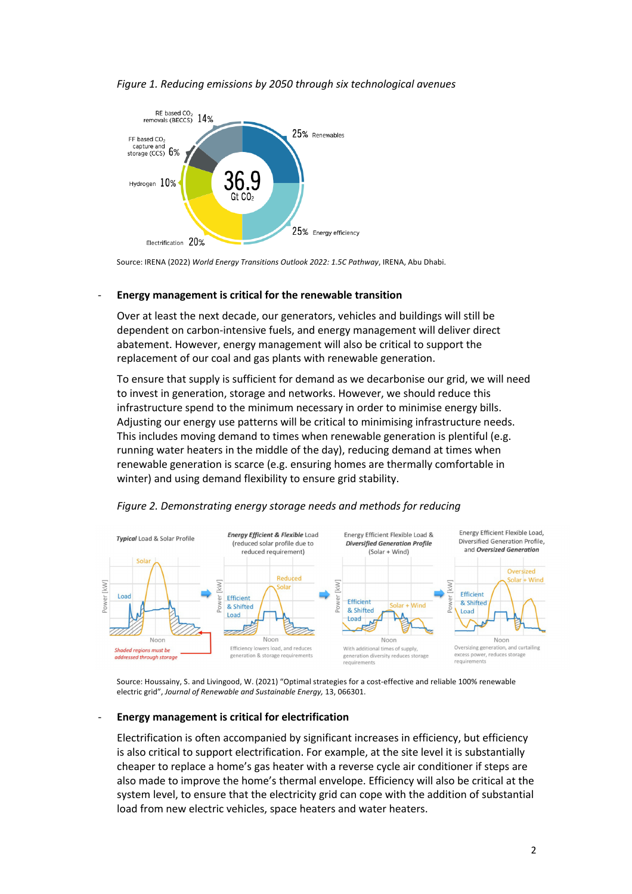### *Figure 1. Reducing emissions by 2050 through six technological avenues*



Source: IRENA (2022) *World Energy Transitions Outlook 2022: 1.5C Pathway*, IRENA, Abu Dhabi.

#### - **Energy management is critical for the renewable transition**

Over at least the next decade, our generators, vehicles and buildings will still be dependent on carbon-intensive fuels, and energy management will deliver direct abatement. However, energy management will also be critical to support the replacement of our coal and gas plants with renewable generation.

To ensure that supply is sufficient for demand as we decarbonise our grid, we will need to invest in generation, storage and networks. However, we should reduce this infrastructure spend to the minimum necessary in order to minimise energy bills. Adjusting our energy use patterns will be critical to minimising infrastructure needs. This includes moving demand to times when renewable generation is plentiful (e.g. running water heaters in the middle of the day), reducing demand at times when renewable generation is scarce (e.g. ensuring homes are thermally comfortable in winter) and using demand flexibility to ensure grid stability.



### *Figure 2. Demonstrating energy storage needs and methods for reducing*

Source: Houssainy, S. and Livingood, W. (2021) "Optimal strategies for a cost-effective and reliable 100% renewable electric grid", *Journal of Renewable and Sustainable Energy,* 13, 066301.

#### - **Energy management is critical for electrification**

Electrification is often accompanied by significant increases in efficiency, but efficiency is also critical to support electrification. For example, at the site level it is substantially cheaper to replace a home's gas heater with a reverse cycle air conditioner if steps are also made to improve the home's thermal envelope. Efficiency will also be critical at the system level, to ensure that the electricity grid can cope with the addition of substantial load from new electric vehicles, space heaters and water heaters.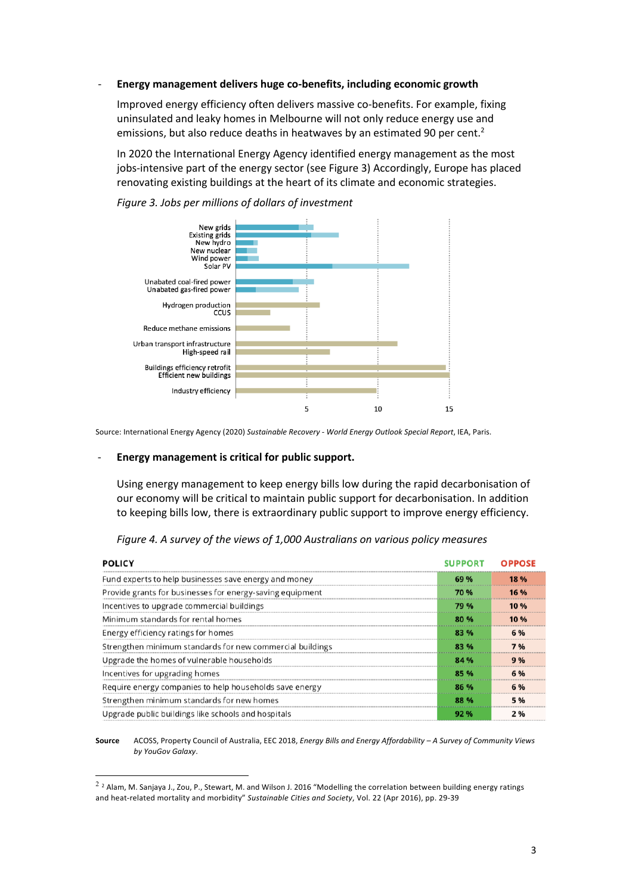#### - **Energy management delivers huge co-benefits, including economic growth**

Improved energy efficiency often delivers massive co-benefits. For example, fixing uninsulated and leaky homes in Melbourne will not only reduce energy use and emissions, but also reduce deaths in heatwaves by an estimated 90 per cent.<sup>2</sup>

In 2020 the International Energy Agency identified energy management as the most jobs-intensive part of the energy sector (see Figure 3) Accordingly, Europe has placed renovating existing buildings at the heart of its climate and economic strategies.



*Figure 3. Jobs per millions of dollars of investment*

Source: International Energy Agency (2020) *Sustainable Recovery - World Energy Outlook Special Report*, IEA, Paris.

#### - **Energy management is critical for public support.**

Using energy management to keep energy bills low during the rapid decarbonisation of our economy will be critical to maintain public support for decarbonisation. In addition to keeping bills low, there is extraordinary public support to improve energy efficiency.

| <b>POLICY</b>                                             | <b>SUPPORT OPPO</b> |  |
|-----------------------------------------------------------|---------------------|--|
| Fund experts to help businesses save energy and money     |                     |  |
| Provide grants for businesses for energy-saving equipment | 70 %                |  |
| Incentives to upgrade commercial buildings                | 79 %                |  |
| Minimum standards for rental homes                        |                     |  |
| Energy efficiency ratings for homes                       |                     |  |
| Strengthen minimum standards for new commercial buildings |                     |  |
| Upgrade the homes of vulnerable households                |                     |  |
| Incentives for upgrading homes                            |                     |  |
| Require energy companies to help households save energy   |                     |  |
| Strengthen minimum standards for new homes                | 88 %                |  |
| Upgrade public buildings like schools and hospitals       |                     |  |

*Figure 4. A survey of the views of 1,000 Australians on various policy measures*

**Source** ACOSS, Property Council of Australia, EEC 2018, *Energy Bills and Energy Affordability – A Survey of Community Views by YouGov Galaxy*.

<sup>&</sup>lt;sup>2</sup> <sup>2</sup> Alam, M. Sanjaya J., Zou, P., Stewart, M. and Wilson J. 2016 "Modelling the correlation between building energy ratings and heat-related mortality and morbidity" *Sustainable Cities and Society*, Vol. 22 (Apr 2016), pp. 29-39